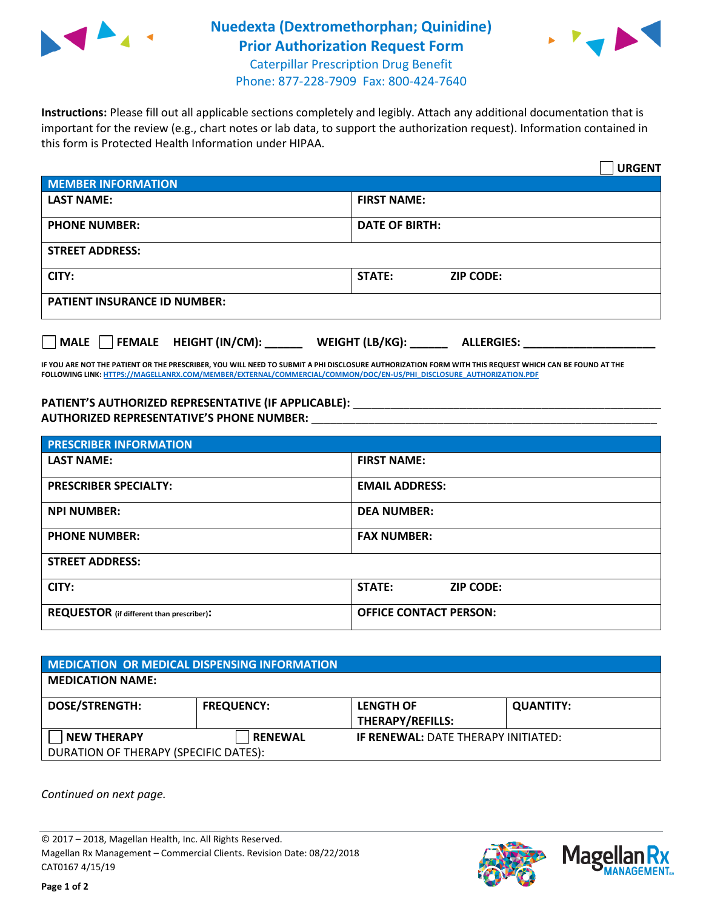

## **Nuedexta (Dextromethorphan; Quinidine) Prior Authorization Request Form** Caterpillar Prescription Drug Benefit



Phone: 877-228-7909 Fax: 800-424-7640

**Instructions:** Please fill out all applicable sections completely and legibly. Attach any additional documentation that is important for the review (e.g., chart notes or lab data, to support the authorization request). Information contained in this form is Protected Health Information under HIPAA.

|                                       |                                      | <b>URGENT</b> |  |  |
|---------------------------------------|--------------------------------------|---------------|--|--|
| <b>MEMBER INFORMATION</b>             |                                      |               |  |  |
| <b>LAST NAME:</b>                     | <b>FIRST NAME:</b>                   |               |  |  |
| <b>PHONE NUMBER:</b>                  | <b>DATE OF BIRTH:</b>                |               |  |  |
| <b>STREET ADDRESS:</b>                |                                      |               |  |  |
| CITY:                                 | <b>STATE:</b><br><b>ZIP CODE:</b>    |               |  |  |
| <b>PATIENT INSURANCE ID NUMBER:</b>   |                                      |               |  |  |
| FEMALE HEIGHT (IN/CM):<br><b>MALE</b> | WEIGHT (LB/KG):<br><b>ALLERGIES:</b> |               |  |  |

**IF YOU ARE NOT THE PATIENT OR THE PRESCRIBER, YOU WILL NEED TO SUBMIT A PHI DISCLOSURE AUTHORIZATION FORM WITH THIS REQUEST WHICH CAN BE FOUND AT THE FOLLOWING LINK[: HTTPS://MAGELLANRX.COM/MEMBER/EXTERNAL/COMMERCIAL/COMMON/DOC/EN-US/PHI\\_DISCLOSURE\\_AUTHORIZATION.PDF](https://magellanrx.com/member/external/commercial/common/doc/en-us/PHI_Disclosure_Authorization.pdf)**

PATIENT'S AUTHORIZED REPRESENTATIVE (IF APPLICABLE): \_\_\_\_\_\_\_\_\_\_\_\_\_\_\_\_\_\_\_\_\_\_\_\_\_\_\_ **AUTHORIZED REPRESENTATIVE'S PHONE NUMBER:** \_\_\_\_\_\_\_\_\_\_\_\_\_\_\_\_\_\_\_\_\_\_\_\_\_\_\_\_\_\_\_\_\_\_\_\_\_\_\_\_\_\_\_\_\_\_\_\_\_\_\_\_\_\_\_

| <b>PRESCRIBER INFORMATION</b>             |                               |  |  |  |
|-------------------------------------------|-------------------------------|--|--|--|
| <b>LAST NAME:</b>                         | <b>FIRST NAME:</b>            |  |  |  |
| <b>PRESCRIBER SPECIALTY:</b>              | <b>EMAIL ADDRESS:</b>         |  |  |  |
| <b>NPI NUMBER:</b>                        | <b>DEA NUMBER:</b>            |  |  |  |
| <b>PHONE NUMBER:</b>                      | <b>FAX NUMBER:</b>            |  |  |  |
| <b>STREET ADDRESS:</b>                    |                               |  |  |  |
| CITY:                                     | STATE:<br><b>ZIP CODE:</b>    |  |  |  |
| REQUESTOR (if different than prescriber): | <b>OFFICE CONTACT PERSON:</b> |  |  |  |

| <b>MEDICATION OR MEDICAL DISPENSING INFORMATION</b> |                   |                                            |                  |  |  |
|-----------------------------------------------------|-------------------|--------------------------------------------|------------------|--|--|
| <b>MEDICATION NAME:</b>                             |                   |                                            |                  |  |  |
| <b>DOSE/STRENGTH:</b>                               | <b>FREQUENCY:</b> | <b>LENGTH OF</b>                           | <b>QUANTITY:</b> |  |  |
|                                                     |                   | <b>THERAPY/REFILLS:</b>                    |                  |  |  |
| <b>NEW THERAPY</b>                                  | <b>RENEWAL</b>    | <b>IF RENEWAL: DATE THERAPY INITIATED:</b> |                  |  |  |
| DURATION OF THERAPY (SPECIFIC DATES):               |                   |                                            |                  |  |  |

*Continued on next page.*

© 2017 – 2018, Magellan Health, Inc. All Rights Reserved. Magellan Rx Management – Commercial Clients. Revision Date: 08/22/2018 CAT0167 4/15/19